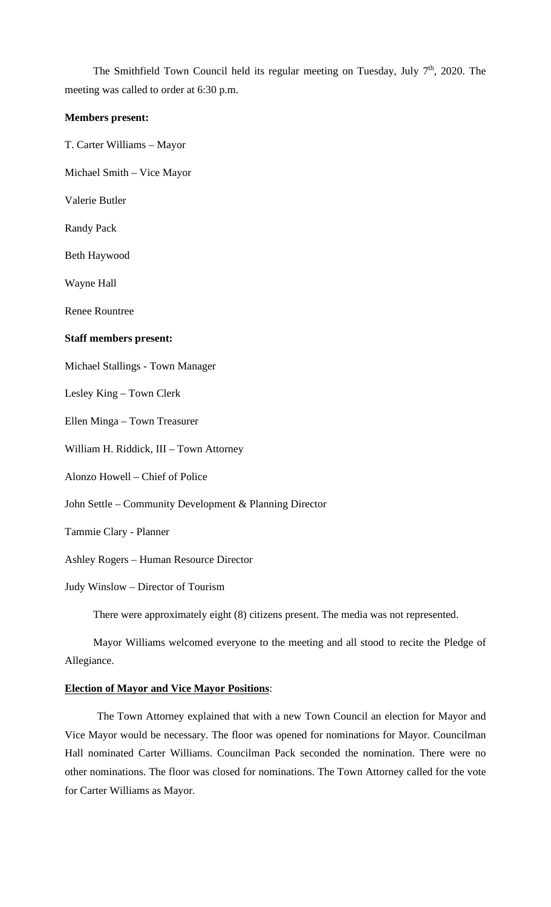The Smithfield Town Council held its regular meeting on Tuesday, July  $7<sup>th</sup>$ , 2020. The meeting was called to order at 6:30 p.m.

### **Members present:**

T. Carter Williams – Mayor

Michael Smith – Vice Mayor

Valerie Butler

Randy Pack

Beth Haywood

Wayne Hall

Renee Rountree

#### **Staff members present:**

Michael Stallings - Town Manager

Lesley King – Town Clerk

Ellen Minga – Town Treasurer

William H. Riddick, III – Town Attorney

Alonzo Howell – Chief of Police

John Settle – Community Development & Planning Director

Tammie Clary - Planner

Ashley Rogers – Human Resource Director

Judy Winslow – Director of Tourism

There were approximately eight (8) citizens present. The media was not represented.

Mayor Williams welcomed everyone to the meeting and all stood to recite the Pledge of Allegiance.

### **Election of Mayor and Vice Mayor Positions**:

The Town Attorney explained that with a new Town Council an election for Mayor and Vice Mayor would be necessary. The floor was opened for nominations for Mayor. Councilman Hall nominated Carter Williams. Councilman Pack seconded the nomination. There were no other nominations. The floor was closed for nominations. The Town Attorney called for the vote for Carter Williams as Mayor.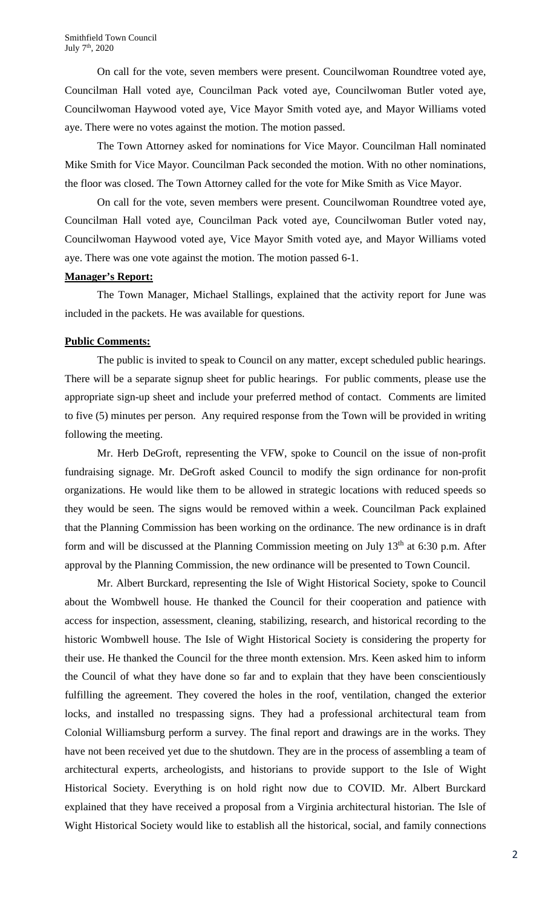On call for the vote, seven members were present. Councilwoman Roundtree voted aye, Councilman Hall voted aye, Councilman Pack voted aye, Councilwoman Butler voted aye, Councilwoman Haywood voted aye, Vice Mayor Smith voted aye, and Mayor Williams voted aye. There were no votes against the motion. The motion passed.

The Town Attorney asked for nominations for Vice Mayor. Councilman Hall nominated Mike Smith for Vice Mayor. Councilman Pack seconded the motion. With no other nominations, the floor was closed. The Town Attorney called for the vote for Mike Smith as Vice Mayor.

On call for the vote, seven members were present. Councilwoman Roundtree voted aye, Councilman Hall voted aye, Councilman Pack voted aye, Councilwoman Butler voted nay, Councilwoman Haywood voted aye, Vice Mayor Smith voted aye, and Mayor Williams voted aye. There was one vote against the motion. The motion passed 6-1.

### **Manager's Report:**

The Town Manager, Michael Stallings, explained that the activity report for June was included in the packets. He was available for questions.

### **Public Comments:**

The public is invited to speak to Council on any matter, except scheduled public hearings. There will be a separate signup sheet for public hearings. For public comments, please use the appropriate sign-up sheet and include your preferred method of contact. Comments are limited to five (5) minutes per person. Any required response from the Town will be provided in writing following the meeting.

Mr. Herb DeGroft, representing the VFW, spoke to Council on the issue of non-profit fundraising signage. Mr. DeGroft asked Council to modify the sign ordinance for non-profit organizations. He would like them to be allowed in strategic locations with reduced speeds so they would be seen. The signs would be removed within a week. Councilman Pack explained that the Planning Commission has been working on the ordinance. The new ordinance is in draft form and will be discussed at the Planning Commission meeting on July  $13<sup>th</sup>$  at 6:30 p.m. After approval by the Planning Commission, the new ordinance will be presented to Town Council.

Mr. Albert Burckard, representing the Isle of Wight Historical Society, spoke to Council about the Wombwell house. He thanked the Council for their cooperation and patience with access for inspection, assessment, cleaning, stabilizing, research, and historical recording to the historic Wombwell house. The Isle of Wight Historical Society is considering the property for their use. He thanked the Council for the three month extension. Mrs. Keen asked him to inform the Council of what they have done so far and to explain that they have been conscientiously fulfilling the agreement. They covered the holes in the roof, ventilation, changed the exterior locks, and installed no trespassing signs. They had a professional architectural team from Colonial Williamsburg perform a survey. The final report and drawings are in the works. They have not been received yet due to the shutdown. They are in the process of assembling a team of architectural experts, archeologists, and historians to provide support to the Isle of Wight Historical Society. Everything is on hold right now due to COVID. Mr. Albert Burckard explained that they have received a proposal from a Virginia architectural historian. The Isle of Wight Historical Society would like to establish all the historical, social, and family connections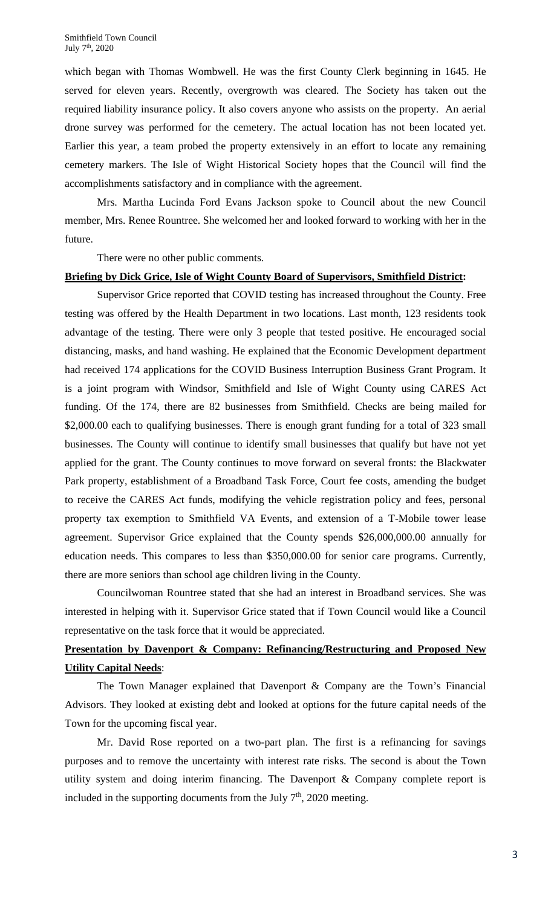which began with Thomas Wombwell. He was the first County Clerk beginning in 1645. He served for eleven years. Recently, overgrowth was cleared. The Society has taken out the required liability insurance policy. It also covers anyone who assists on the property. An aerial drone survey was performed for the cemetery. The actual location has not been located yet. Earlier this year, a team probed the property extensively in an effort to locate any remaining cemetery markers. The Isle of Wight Historical Society hopes that the Council will find the accomplishments satisfactory and in compliance with the agreement.

Mrs. Martha Lucinda Ford Evans Jackson spoke to Council about the new Council member, Mrs. Renee Rountree. She welcomed her and looked forward to working with her in the future.

There were no other public comments.

### **Briefing by Dick Grice, Isle of Wight County Board of Supervisors, Smithfield District:**

Supervisor Grice reported that COVID testing has increased throughout the County. Free testing was offered by the Health Department in two locations. Last month, 123 residents took advantage of the testing. There were only 3 people that tested positive. He encouraged social distancing, masks, and hand washing. He explained that the Economic Development department had received 174 applications for the COVID Business Interruption Business Grant Program. It is a joint program with Windsor, Smithfield and Isle of Wight County using CARES Act funding. Of the 174, there are 82 businesses from Smithfield. Checks are being mailed for \$2,000.00 each to qualifying businesses. There is enough grant funding for a total of 323 small businesses. The County will continue to identify small businesses that qualify but have not yet applied for the grant. The County continues to move forward on several fronts: the Blackwater Park property, establishment of a Broadband Task Force, Court fee costs, amending the budget to receive the CARES Act funds, modifying the vehicle registration policy and fees, personal property tax exemption to Smithfield VA Events, and extension of a T-Mobile tower lease agreement. Supervisor Grice explained that the County spends \$26,000,000.00 annually for education needs. This compares to less than \$350,000.00 for senior care programs. Currently, there are more seniors than school age children living in the County.

Councilwoman Rountree stated that she had an interest in Broadband services. She was interested in helping with it. Supervisor Grice stated that if Town Council would like a Council representative on the task force that it would be appreciated.

# **Presentation by Davenport & Company: Refinancing/Restructuring and Proposed New Utility Capital Needs**:

The Town Manager explained that Davenport & Company are the Town's Financial Advisors. They looked at existing debt and looked at options for the future capital needs of the Town for the upcoming fiscal year.

Mr. David Rose reported on a two-part plan. The first is a refinancing for savings purposes and to remove the uncertainty with interest rate risks. The second is about the Town utility system and doing interim financing. The Davenport & Company complete report is included in the supporting documents from the July  $7<sup>th</sup>$ , 2020 meeting.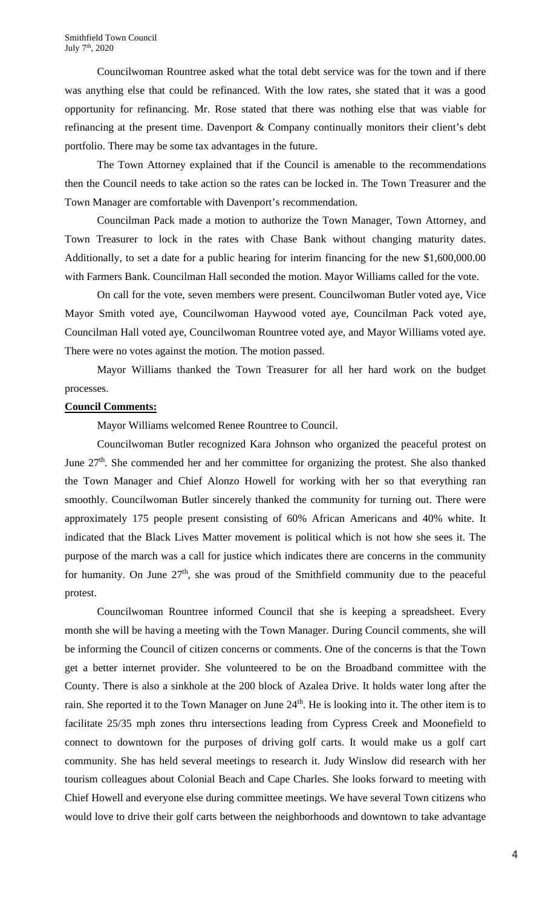Councilwoman Rountree asked what the total debt service was for the town and if there was anything else that could be refinanced. With the low rates, she stated that it was a good opportunity for refinancing. Mr. Rose stated that there was nothing else that was viable for refinancing at the present time. Davenport & Company continually monitors their client's debt portfolio. There may be some tax advantages in the future.

The Town Attorney explained that if the Council is amenable to the recommendations then the Council needs to take action so the rates can be locked in. The Town Treasurer and the Town Manager are comfortable with Davenport's recommendation.

Councilman Pack made a motion to authorize the Town Manager, Town Attorney, and Town Treasurer to lock in the rates with Chase Bank without changing maturity dates. Additionally, to set a date for a public hearing for interim financing for the new \$1,600,000.00 with Farmers Bank. Councilman Hall seconded the motion. Mayor Williams called for the vote.

On call for the vote, seven members were present. Councilwoman Butler voted aye, Vice Mayor Smith voted aye, Councilwoman Haywood voted aye, Councilman Pack voted aye, Councilman Hall voted aye, Councilwoman Rountree voted aye, and Mayor Williams voted aye. There were no votes against the motion. The motion passed.

Mayor Williams thanked the Town Treasurer for all her hard work on the budget processes.

### **Council Comments:**

Mayor Williams welcomed Renee Rountree to Council.

Councilwoman Butler recognized Kara Johnson who organized the peaceful protest on June  $27<sup>th</sup>$ . She commended her and her committee for organizing the protest. She also thanked the Town Manager and Chief Alonzo Howell for working with her so that everything ran smoothly. Councilwoman Butler sincerely thanked the community for turning out. There were approximately 175 people present consisting of 60% African Americans and 40% white. It indicated that the Black Lives Matter movement is political which is not how she sees it. The purpose of the march was a call for justice which indicates there are concerns in the community for humanity. On June  $27<sup>th</sup>$ , she was proud of the Smithfield community due to the peaceful protest.

Councilwoman Rountree informed Council that she is keeping a spreadsheet. Every month she will be having a meeting with the Town Manager. During Council comments, she will be informing the Council of citizen concerns or comments. One of the concerns is that the Town get a better internet provider. She volunteered to be on the Broadband committee with the County. There is also a sinkhole at the 200 block of Azalea Drive. It holds water long after the rain. She reported it to the Town Manager on June  $24<sup>th</sup>$ . He is looking into it. The other item is to facilitate 25/35 mph zones thru intersections leading from Cypress Creek and Moonefield to connect to downtown for the purposes of driving golf carts. It would make us a golf cart community. She has held several meetings to research it. Judy Winslow did research with her tourism colleagues about Colonial Beach and Cape Charles. She looks forward to meeting with Chief Howell and everyone else during committee meetings. We have several Town citizens who would love to drive their golf carts between the neighborhoods and downtown to take advantage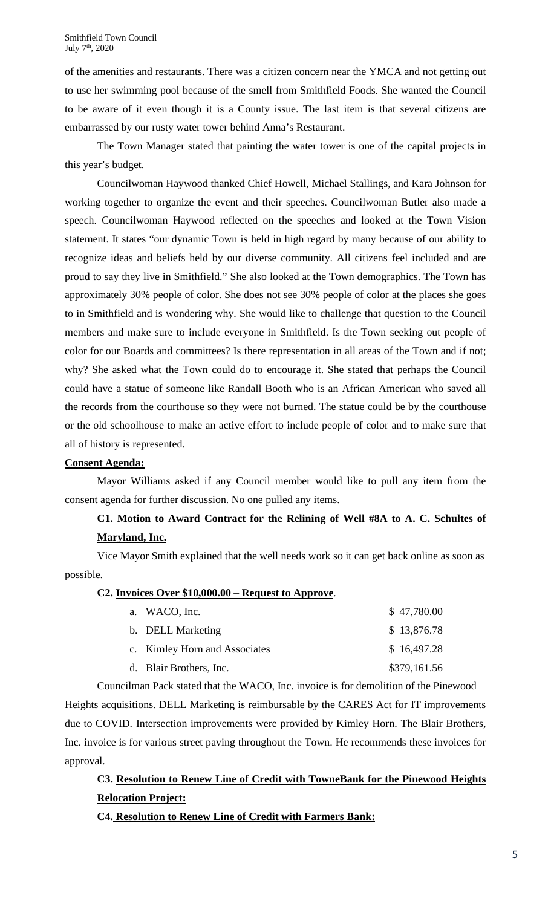of the amenities and restaurants. There was a citizen concern near the YMCA and not getting out to use her swimming pool because of the smell from Smithfield Foods. She wanted the Council to be aware of it even though it is a County issue. The last item is that several citizens are embarrassed by our rusty water tower behind Anna's Restaurant.

The Town Manager stated that painting the water tower is one of the capital projects in this year's budget.

Councilwoman Haywood thanked Chief Howell, Michael Stallings, and Kara Johnson for working together to organize the event and their speeches. Councilwoman Butler also made a speech. Councilwoman Haywood reflected on the speeches and looked at the Town Vision statement. It states "our dynamic Town is held in high regard by many because of our ability to recognize ideas and beliefs held by our diverse community. All citizens feel included and are proud to say they live in Smithfield." She also looked at the Town demographics. The Town has approximately 30% people of color. She does not see 30% people of color at the places she goes to in Smithfield and is wondering why. She would like to challenge that question to the Council members and make sure to include everyone in Smithfield. Is the Town seeking out people of color for our Boards and committees? Is there representation in all areas of the Town and if not; why? She asked what the Town could do to encourage it. She stated that perhaps the Council could have a statue of someone like Randall Booth who is an African American who saved all the records from the courthouse so they were not burned. The statue could be by the courthouse or the old schoolhouse to make an active effort to include people of color and to make sure that all of history is represented.

### **Consent Agenda:**

Mayor Williams asked if any Council member would like to pull any item from the consent agenda for further discussion. No one pulled any items.

# **C1. Motion to Award Contract for the Relining of Well #8A to A. C. Schultes of Maryland, Inc.**

Vice Mayor Smith explained that the well needs work so it can get back online as soon as possible.

### **C2. Invoices Over \$10,000.00 – Request to Approve**.

| a. WACO, Inc.                 | \$47,780.00  |
|-------------------------------|--------------|
| b. DELL Marketing             | \$13,876.78  |
| c. Kimley Horn and Associates | \$16,497.28  |
| d. Blair Brothers, Inc.       | \$379,161.56 |

Councilman Pack stated that the WACO, Inc. invoice is for demolition of the Pinewood Heights acquisitions. DELL Marketing is reimbursable by the CARES Act for IT improvements due to COVID. Intersection improvements were provided by Kimley Horn. The Blair Brothers, Inc. invoice is for various street paving throughout the Town. He recommends these invoices for approval.

# **C3. Resolution to Renew Line of Credit with TowneBank for the Pinewood Heights Relocation Project:**

## **C4. Resolution to Renew Line of Credit with Farmers Bank:**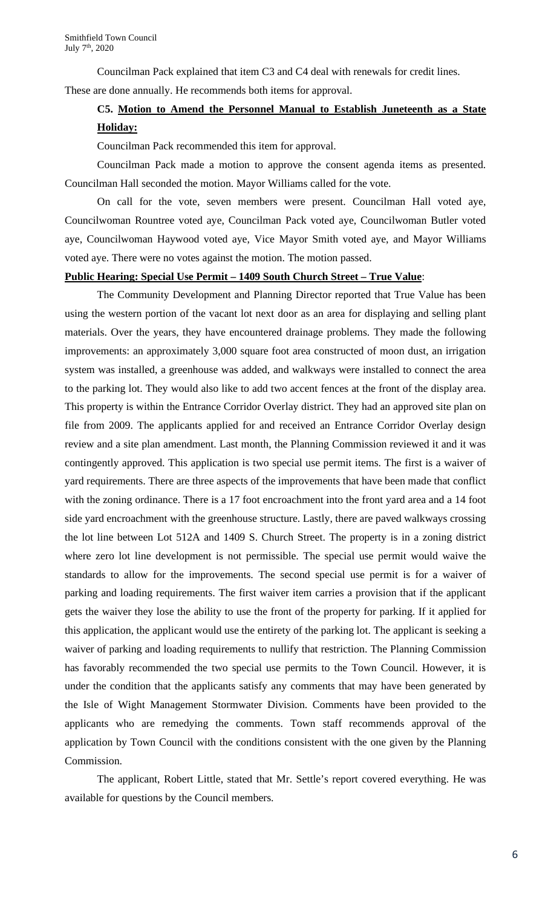Councilman Pack explained that item C3 and C4 deal with renewals for credit lines. These are done annually. He recommends both items for approval.

## **C5. Motion to Amend the Personnel Manual to Establish Juneteenth as a State Holiday:**

Councilman Pack recommended this item for approval.

Councilman Pack made a motion to approve the consent agenda items as presented. Councilman Hall seconded the motion. Mayor Williams called for the vote.

On call for the vote, seven members were present. Councilman Hall voted aye, Councilwoman Rountree voted aye, Councilman Pack voted aye, Councilwoman Butler voted aye, Councilwoman Haywood voted aye, Vice Mayor Smith voted aye, and Mayor Williams voted aye. There were no votes against the motion. The motion passed.

### **Public Hearing: Special Use Permit – 1409 South Church Street – True Value**:

The Community Development and Planning Director reported that True Value has been using the western portion of the vacant lot next door as an area for displaying and selling plant materials. Over the years, they have encountered drainage problems. They made the following improvements: an approximately 3,000 square foot area constructed of moon dust, an irrigation system was installed, a greenhouse was added, and walkways were installed to connect the area to the parking lot. They would also like to add two accent fences at the front of the display area. This property is within the Entrance Corridor Overlay district. They had an approved site plan on file from 2009. The applicants applied for and received an Entrance Corridor Overlay design review and a site plan amendment. Last month, the Planning Commission reviewed it and it was contingently approved. This application is two special use permit items. The first is a waiver of yard requirements. There are three aspects of the improvements that have been made that conflict with the zoning ordinance. There is a 17 foot encroachment into the front yard area and a 14 foot side yard encroachment with the greenhouse structure. Lastly, there are paved walkways crossing the lot line between Lot 512A and 1409 S. Church Street. The property is in a zoning district where zero lot line development is not permissible. The special use permit would waive the standards to allow for the improvements. The second special use permit is for a waiver of parking and loading requirements. The first waiver item carries a provision that if the applicant gets the waiver they lose the ability to use the front of the property for parking. If it applied for this application, the applicant would use the entirety of the parking lot. The applicant is seeking a waiver of parking and loading requirements to nullify that restriction. The Planning Commission has favorably recommended the two special use permits to the Town Council. However, it is under the condition that the applicants satisfy any comments that may have been generated by the Isle of Wight Management Stormwater Division. Comments have been provided to the applicants who are remedying the comments. Town staff recommends approval of the application by Town Council with the conditions consistent with the one given by the Planning Commission.

The applicant, Robert Little, stated that Mr. Settle's report covered everything. He was available for questions by the Council members.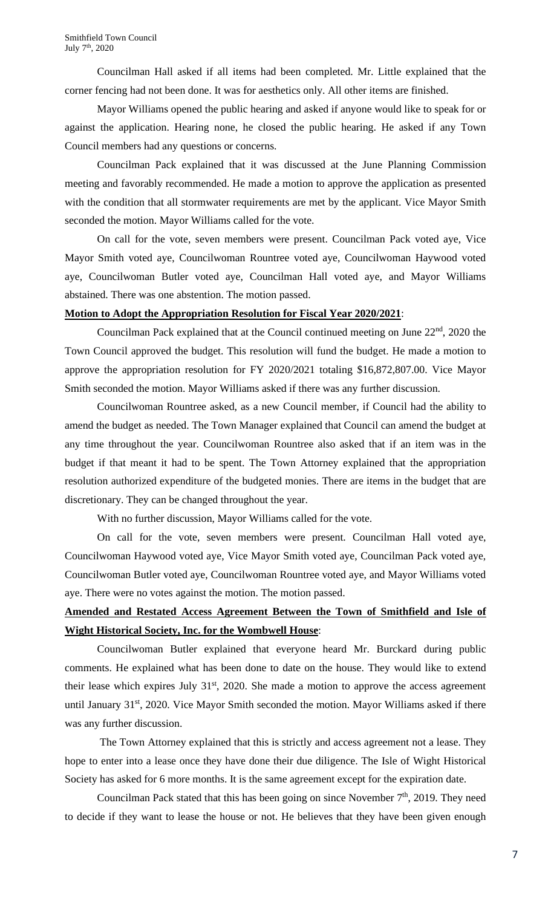Councilman Hall asked if all items had been completed. Mr. Little explained that the corner fencing had not been done. It was for aesthetics only. All other items are finished.

Mayor Williams opened the public hearing and asked if anyone would like to speak for or against the application. Hearing none, he closed the public hearing. He asked if any Town Council members had any questions or concerns.

Councilman Pack explained that it was discussed at the June Planning Commission meeting and favorably recommended. He made a motion to approve the application as presented with the condition that all stormwater requirements are met by the applicant. Vice Mayor Smith seconded the motion. Mayor Williams called for the vote.

On call for the vote, seven members were present. Councilman Pack voted aye, Vice Mayor Smith voted aye, Councilwoman Rountree voted aye, Councilwoman Haywood voted aye, Councilwoman Butler voted aye, Councilman Hall voted aye, and Mayor Williams abstained. There was one abstention. The motion passed.

### **Motion to Adopt the Appropriation Resolution for Fiscal Year 2020/2021**:

Councilman Pack explained that at the Council continued meeting on June  $22<sup>nd</sup>$ , 2020 the Town Council approved the budget. This resolution will fund the budget. He made a motion to approve the appropriation resolution for FY 2020/2021 totaling \$16,872,807.00. Vice Mayor Smith seconded the motion. Mayor Williams asked if there was any further discussion.

Councilwoman Rountree asked, as a new Council member, if Council had the ability to amend the budget as needed. The Town Manager explained that Council can amend the budget at any time throughout the year. Councilwoman Rountree also asked that if an item was in the budget if that meant it had to be spent. The Town Attorney explained that the appropriation resolution authorized expenditure of the budgeted monies. There are items in the budget that are discretionary. They can be changed throughout the year.

With no further discussion, Mayor Williams called for the vote.

On call for the vote, seven members were present. Councilman Hall voted aye, Councilwoman Haywood voted aye, Vice Mayor Smith voted aye, Councilman Pack voted aye, Councilwoman Butler voted aye, Councilwoman Rountree voted aye, and Mayor Williams voted aye. There were no votes against the motion. The motion passed.

# **Amended and Restated Access Agreement Between the Town of Smithfield and Isle of Wight Historical Society, Inc. for the Wombwell House**:

Councilwoman Butler explained that everyone heard Mr. Burckard during public comments. He explained what has been done to date on the house. They would like to extend their lease which expires July  $31<sup>st</sup>$ , 2020. She made a motion to approve the access agreement until January  $31<sup>st</sup>$ , 2020. Vice Mayor Smith seconded the motion. Mayor Williams asked if there was any further discussion.

The Town Attorney explained that this is strictly and access agreement not a lease. They hope to enter into a lease once they have done their due diligence. The Isle of Wight Historical Society has asked for 6 more months. It is the same agreement except for the expiration date.

Councilman Pack stated that this has been going on since November  $7<sup>th</sup>$ , 2019. They need to decide if they want to lease the house or not. He believes that they have been given enough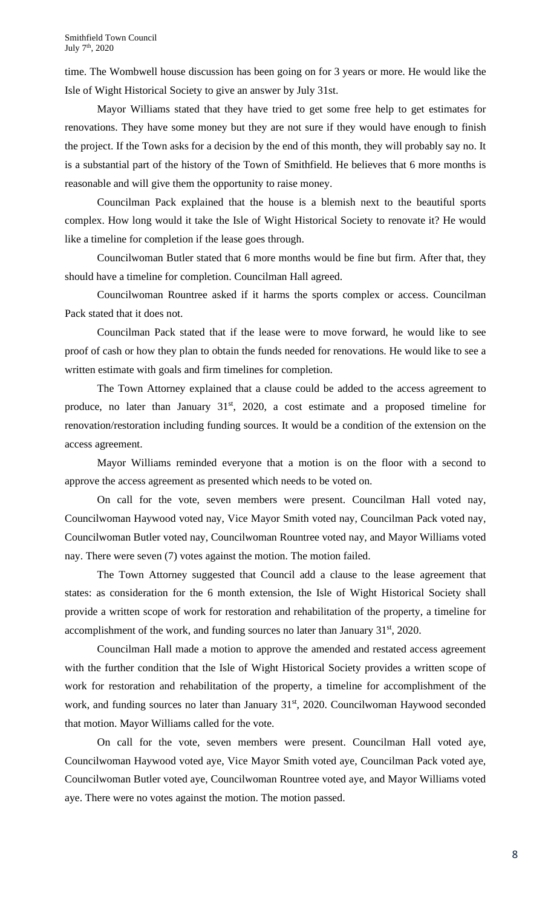time. The Wombwell house discussion has been going on for 3 years or more. He would like the Isle of Wight Historical Society to give an answer by July 31st.

Mayor Williams stated that they have tried to get some free help to get estimates for renovations. They have some money but they are not sure if they would have enough to finish the project. If the Town asks for a decision by the end of this month, they will probably say no. It is a substantial part of the history of the Town of Smithfield. He believes that 6 more months is reasonable and will give them the opportunity to raise money.

Councilman Pack explained that the house is a blemish next to the beautiful sports complex. How long would it take the Isle of Wight Historical Society to renovate it? He would like a timeline for completion if the lease goes through.

Councilwoman Butler stated that 6 more months would be fine but firm. After that, they should have a timeline for completion. Councilman Hall agreed.

Councilwoman Rountree asked if it harms the sports complex or access. Councilman Pack stated that it does not.

Councilman Pack stated that if the lease were to move forward, he would like to see proof of cash or how they plan to obtain the funds needed for renovations. He would like to see a written estimate with goals and firm timelines for completion.

The Town Attorney explained that a clause could be added to the access agreement to produce, no later than January  $31<sup>st</sup>$ ,  $2020$ , a cost estimate and a proposed timeline for renovation/restoration including funding sources. It would be a condition of the extension on the access agreement.

Mayor Williams reminded everyone that a motion is on the floor with a second to approve the access agreement as presented which needs to be voted on.

On call for the vote, seven members were present. Councilman Hall voted nay, Councilwoman Haywood voted nay, Vice Mayor Smith voted nay, Councilman Pack voted nay, Councilwoman Butler voted nay, Councilwoman Rountree voted nay, and Mayor Williams voted nay. There were seven (7) votes against the motion. The motion failed.

The Town Attorney suggested that Council add a clause to the lease agreement that states: as consideration for the 6 month extension, the Isle of Wight Historical Society shall provide a written scope of work for restoration and rehabilitation of the property, a timeline for accomplishment of the work, and funding sources no later than January  $31<sup>st</sup>$ , 2020.

Councilman Hall made a motion to approve the amended and restated access agreement with the further condition that the Isle of Wight Historical Society provides a written scope of work for restoration and rehabilitation of the property, a timeline for accomplishment of the work, and funding sources no later than January 31<sup>st</sup>, 2020. Councilwoman Haywood seconded that motion. Mayor Williams called for the vote.

On call for the vote, seven members were present. Councilman Hall voted aye, Councilwoman Haywood voted aye, Vice Mayor Smith voted aye, Councilman Pack voted aye, Councilwoman Butler voted aye, Councilwoman Rountree voted aye, and Mayor Williams voted aye. There were no votes against the motion. The motion passed.